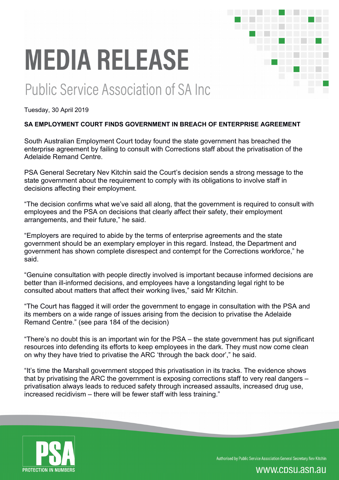# **MEDIA RELEASE**

## Public Service Association of SA Inc.

Tuesday, 30 April 2019

#### **SA EMPLOYMENT COURT FINDS GOVERNMENT IN BREACH OF ENTERPRISE AGREEMENT**

South Australian Employment Court today found the state government has breached the enterprise agreement by failing to consult with Corrections staff about the privatisation of the Adelaide Remand Centre.

PSA General Secretary Nev Kitchin said the Court's decision sends a strong message to the state government about the requirement to comply with its obligations to involve staff in decisions affecting their employment.

"The decision confirms what we've said all along, that the government is required to consult with employees and the PSA on decisions that clearly affect their safety, their employment arrangements, and their future," he said.

"Employers are required to abide by the terms of enterprise agreements and the state government should be an exemplary employer in this regard. Instead, the Department and government has shown complete disrespect and contempt for the Corrections workforce," he said.

"Genuine consultation with people directly involved is important because informed decisions are better than ill-informed decisions, and employees have a longstanding legal right to be consulted about matters that affect their working lives," said Mr Kitchin.

"The Court has flagged it will order the government to engage in consultation with the PSA and its members on a wide range of issues arising from the decision to privatise the Adelaide Remand Centre." (see para 184 of the decision)

"There's no doubt this is an important win for the PSA – the state government has put significant resources into defending its efforts to keep employees in the dark. They must now come clean on why they have tried to privatise the ARC 'through the back door'," he said.

"It's time the Marshall government stopped this privatisation in its tracks. The evidence shows that by privatising the ARC the government is exposing corrections staff to very real dangers – privatisation always leads to reduced safety through increased assaults, increased drug use, increased recidivism – there will be fewer staff with less training."



Authorised by Public Service Association General Secretary Nev Kitchin

### www.cpsu.asn.au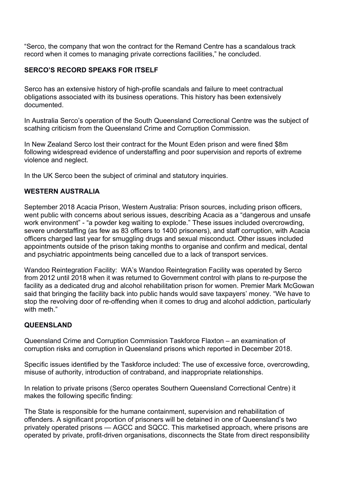"Serco, the company that won the contract for the Remand Centre has a scandalous track record when it comes to managing private corrections facilities," he concluded.

#### **SERCO'S RECORD SPEAKS FOR ITSELF**

Serco has an extensive history of high-profile scandals and failure to meet contractual obligations associated with its business operations. This history has been extensively documented.

In Australia Serco's operation of the South Queensland Correctional Centre was the subject of scathing criticism from the Queensland Crime and Corruption Commission.

In New Zealand Serco lost their contract for the Mount Eden prison and were fined \$8m following widespread evidence of understaffing and poor supervision and reports of extreme violence and neglect.

In the UK Serco been the subject of criminal and statutory inquiries.

#### **WESTERN AUSTRALIA**

September 2018 Acacia Prison, Western Australia: Prison sources, including prison officers, went public with concerns about serious issues, describing Acacia as a "dangerous and unsafe work environment" - "a powder keg waiting to explode." These issues included overcrowding, severe understaffing (as few as 83 officers to 1400 prisoners), and staff corruption, with Acacia officers charged last year for smuggling drugs and sexual misconduct. Other issues included appointments outside of the prison taking months to organise and confirm and medical, dental and psychiatric appointments being cancelled due to a lack of transport services.

Wandoo Reintegration Facility: WA's Wandoo Reintegration Facility was operated by Serco from 2012 until 2018 when it was returned to Government control with plans to re-purpose the facility as a dedicated drug and alcohol rehabilitation prison for women. Premier Mark McGowan said that bringing the facility back into public hands would save taxpayers' money. "We have to stop the revolving door of re-offending when it comes to drug and alcohol addiction, particularly with meth."

#### **QUEENSLAND**

Queensland Crime and Corruption Commission Taskforce Flaxton – an examination of corruption risks and corruption in Queensland prisons which reported in December 2018.

Specific issues identified by the Taskforce included: The use of excessive force, overcrowding, misuse of authority, introduction of contraband, and inappropriate relationships.

In relation to private prisons (Serco operates Southern Queensland Correctional Centre) it makes the following specific finding:

The State is responsible for the humane containment, supervision and rehabilitation of offenders. A significant proportion of prisoners will be detained in one of Queensland's two privately operated prisons — AGCC and SQCC. This marketised approach, where prisons are operated by private, profit-driven organisations, disconnects the State from direct responsibility